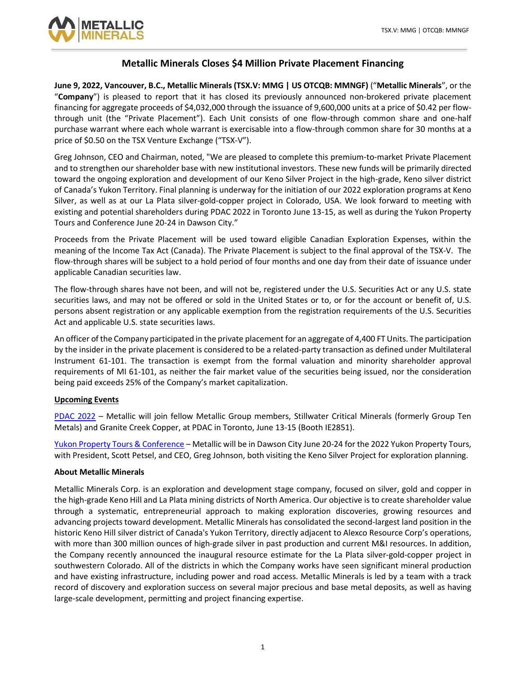

# **Metallic Minerals Closes \$4 Million Private Placement Financing**

**June 9, 2022, Vancouver, B.C., Metallic Minerals (TSX.V: MMG | US OTCQB: MMNGF)** ( "**Metallic Minerals**", or the "**Company**") is pleased to report that it has closed its previously announced non-brokered private placement financing for aggregate proceeds of \$4,032,000 through the issuance of 9,600,000 units at a price of \$0.42 per flowthrough unit (the "Private Placement"). Each Unit consists of one flow-through common share and one-half purchase warrant where each whole warrant is exercisable into a flow-through common share for 30 months at a price of \$0.50 on the TSX Venture Exchange ("TSX-V").

Greg Johnson, CEO and Chairman, noted, "We are pleased to complete this premium-to-market Private Placement and to strengthen our shareholder base with new institutional investors. These new funds will be primarily directed toward the ongoing exploration and development of our Keno Silver Project in the high-grade, Keno silver district of Canada's Yukon Territory. Final planning is underway for the initiation of our 2022 exploration programs at Keno Silver, as well as at our La Plata silver-gold-copper project in Colorado, USA. We look forward to meeting with existing and potential shareholders during PDAC 2022 in Toronto June 13-15, as well as during the Yukon Property Tours and Conference June 20-24 in Dawson City."

Proceeds from the Private Placement will be used toward eligible Canadian Exploration Expenses, within the meaning of the Income Tax Act (Canada). The Private Placement is subject to the final approval of the TSX-V. The flow-through shares will be subject to a hold period of four months and one day from their date of issuance under applicable Canadian securities law.

The flow-through shares have not been, and will not be, registered under the U.S. Securities Act or any U.S. state securities laws, and may not be offered or sold in the United States or to, or for the account or benefit of, U.S. persons absent registration or any applicable exemption from the registration requirements of the U.S. Securities Act and applicable U.S. state securities laws.

An officer of the Company participated in the private placement for an aggregate of 4,400 FT Units. The participation by the insider in the private placement is considered to be a related-party transaction as defined under Multilateral Instrument 61-101. The transaction is exempt from the formal valuation and minority shareholder approval requirements of MI 61-101, as neither the fair market value of the securities being issued, nor the consideration being paid exceeds 25% of the Company's market capitalization.

# **Upcoming Events**

[PDAC 2022](https://www.pdac.ca/convention) – Metallic will join fellow Metallic Group members, Stillwater Critical Minerals (formerly Group Ten Metals) and Granite Creek Copper, at PDAC in Toronto, June 13-15 (Booth IE2851).

[Yukon Property Tours & Conference](https://investyukon.ca/) – Metallic will be in Dawson City June 20-24 for the 2022 Yukon Property Tours, with President, Scott Petsel, and CEO, Greg Johnson, both visiting the Keno Silver Project for exploration planning.

# **About Metallic Minerals**

Metallic Minerals Corp. is an exploration and development stage company, focused on silver, gold and copper in the high-grade Keno Hill and La Plata mining districts of North America. Our objective is to create shareholder value through a systematic, entrepreneurial approach to making exploration discoveries, growing resources and advancing projects toward development. Metallic Minerals has consolidated the second-largest land position in the historic Keno Hill silver district of Canada's Yukon Territory, directly adjacent to Alexco Resource Corp's operations, with more than 300 million ounces of high-grade silver in past production and current M&I resources. In addition, the Company recently announced the inaugural resource estimate for the La Plata silver-gold-copper project in southwestern Colorado. All of the districts in which the Company works have seen significant mineral production and have existing infrastructure, including power and road access. Metallic Minerals is led by a team with a track record of discovery and exploration success on several major precious and base metal deposits, as well as having large-scale development, permitting and project financing expertise.